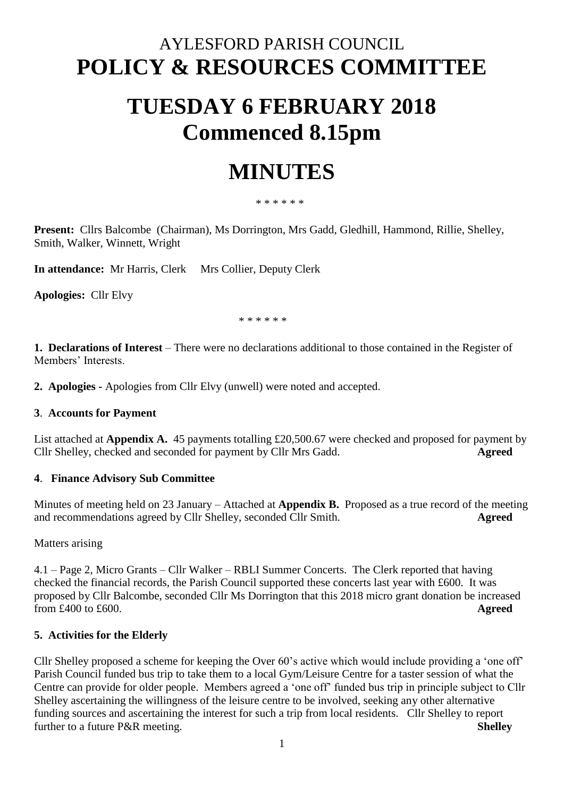# AYLESFORD PARISH COUNCIL **POLICY & RESOURCES COMMITTEE**

# **TUESDAY 6 FEBRUARY 2018 Commenced 8.15pm**

# **MINUTES**

#### \* \* \* \* \* \*

**Present:** Cllrs Balcombe (Chairman), Ms Dorrington, Mrs Gadd, Gledhill, Hammond, Rillie, Shelley, Smith, Walker, Winnett, Wright

**In attendance:** Mr Harris, Clerk Mrs Collier, Deputy Clerk

**Apologies:** Cllr Elvy

\* \* \* \* \* \*

**1. Declarations of Interest** – There were no declarations additional to those contained in the Register of Members' Interests.

**2. Apologies -** Apologies from Cllr Elvy (unwell) were noted and accepted.

#### **3**. **Accounts for Payment**

List attached at **Appendix A.** 45 payments totalling £20,500.67 were checked and proposed for payment by Cllr Shelley, checked and seconded for payment by Cllr Mrs Gadd. **Agreed**

### **4**. **Finance Advisory Sub Committee**

Minutes of meeting held on 23 January – Attached at **Appendix B.** Proposed as a true record of the meeting and recommendations agreed by Cllr Shelley, seconded Cllr Smith. **Agreed**

Matters arising

4.1 – Page 2, Micro Grants – Cllr Walker – RBLI Summer Concerts. The Clerk reported that having checked the financial records, the Parish Council supported these concerts last year with £600. It was proposed by Cllr Balcombe, seconded Cllr Ms Dorrington that this 2018 micro grant donation be increased from £400 to £600. **Agreed**

### **5. Activities for the Elderly**

Cllr Shelley proposed a scheme for keeping the Over 60's active which would include providing a 'one off' Parish Council funded bus trip to take them to a local Gym/Leisure Centre for a taster session of what the Centre can provide for older people. Members agreed a 'one off' funded bus trip in principle subject to Cllr Shelley ascertaining the willingness of the leisure centre to be involved, seeking any other alternative funding sources and ascertaining the interest for such a trip from local residents. Cllr Shelley to report further to a future P&R meeting. **Shelley**